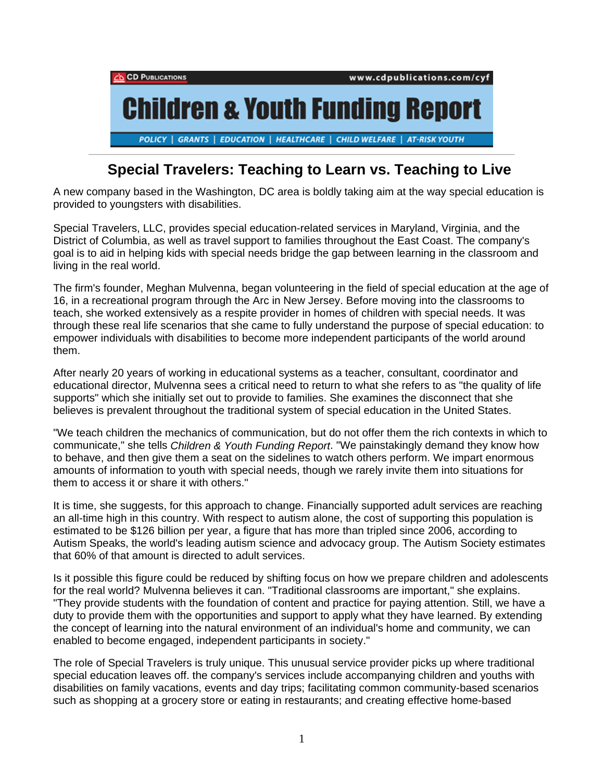

## **Special Travelers: Teaching to Learn vs. Teaching to Live**

A new company based in the Washington, DC area is boldly taking aim at the way special education is provided to youngsters with disabilities.

Special Travelers, LLC, provides special education-related services in Maryland, Virginia, and the District of Columbia, as well as travel support to families throughout the East Coast. The company's goal is to aid in helping kids with special needs bridge the gap between learning in the classroom and living in the real world.

The firm's founder, Meghan Mulvenna, began volunteering in the field of special education at the age of 16, in a recreational program through the Arc in New Jersey. Before moving into the classrooms to teach, she worked extensively as a respite provider in homes of children with special needs. It was through these real life scenarios that she came to fully understand the purpose of special education: to empower individuals with disabilities to become more independent participants of the world around them.

After nearly 20 years of working in educational systems as a teacher, consultant, coordinator and educational director, Mulvenna sees a critical need to return to what she refers to as "the quality of life supports" which she initially set out to provide to families. She examines the disconnect that she believes is prevalent throughout the traditional system of special education in the United States.

"We teach children the mechanics of communication, but do not offer them the rich contexts in which to communicate," she tells *Children & Youth Funding Report*. "We painstakingly demand they know how to behave, and then give them a seat on the sidelines to watch others perform. We impart enormous amounts of information to youth with special needs, though we rarely invite them into situations for them to access it or share it with others."

It is time, she suggests, for this approach to change. Financially supported adult services are reaching an all-time high in this country. With respect to autism alone, the cost of supporting this population is estimated to be \$126 billion per year, a figure that has more than tripled since 2006, according to Autism Speaks, the world's leading autism science and advocacy group. The Autism Society estimates that 60% of that amount is directed to adult services.

Is it possible this figure could be reduced by shifting focus on how we prepare children and adolescents for the real world? Mulvenna believes it can. "Traditional classrooms are important," she explains. "They provide students with the foundation of content and practice for paying attention. Still, we have a duty to provide them with the opportunities and support to apply what they have learned. By extending the concept of learning into the natural environment of an individual's home and community, we can enabled to become engaged, independent participants in society."

The role of Special Travelers is truly unique. This unusual service provider picks up where traditional special education leaves off. the company's services include accompanying children and youths with disabilities on family vacations, events and day trips; facilitating common community-based scenarios such as shopping at a grocery store or eating in restaurants; and creating effective home-based